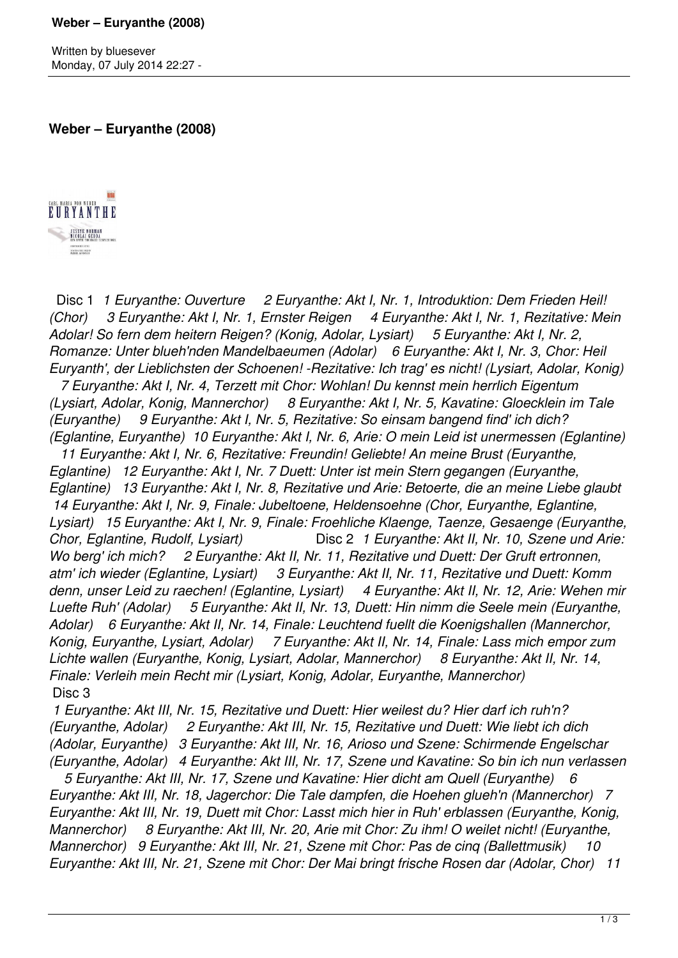Written by bluesever Monday, 07 July 2014 22:27 -

**Weber – Euryanthe (2008)**



 Disc 1 *1 Euryanthe: Ouverture 2 Euryanthe: Akt I, Nr. 1, Introduktion: Dem Frieden Heil! (Chor) 3 Euryanthe: Akt I, Nr. 1, Ernster Reigen 4 Euryanthe: Akt I, Nr. 1, Rezitative: Mein Adolar! So fern dem heitern Reigen? (Konig, Adolar, Lysiart) 5 Euryanthe: Akt I, Nr. 2, Romanze: Unter blueh'nden Mandelbaeumen (Adolar) 6 Euryanthe: Akt I, Nr. 3, Chor: Heil Euryanth', der Lieblichsten der Schoenen! -Rezitative: Ich trag' es nicht! (Lysiart, Adolar, Konig)* 

 *7 Euryanthe: Akt I, Nr. 4, Terzett mit Chor: Wohlan! Du kennst mein herrlich Eigentum (Lysiart, Adolar, Konig, Mannerchor) 8 Euryanthe: Akt I, Nr. 5, Kavatine: Gloecklein im Tale (Euryanthe) 9 Euryanthe: Akt I, Nr. 5, Rezitative: So einsam bangend find' ich dich? (Eglantine, Euryanthe) 10 Euryanthe: Akt I, Nr. 6, Arie: O mein Leid ist unermessen (Eglantine)* 

 *11 Euryanthe: Akt I, Nr. 6, Rezitative: Freundin! Geliebte! An meine Brust (Euryanthe, Eglantine) 12 Euryanthe: Akt I, Nr. 7 Duett: Unter ist mein Stern gegangen (Euryanthe, Eglantine) 13 Euryanthe: Akt I, Nr. 8, Rezitative und Arie: Betoerte, die an meine Liebe glaubt 14 Euryanthe: Akt I, Nr. 9, Finale: Jubeltoene, Heldensoehne (Chor, Euryanthe, Eglantine, Lysiart) 15 Euryanthe: Akt I, Nr. 9, Finale: Froehliche Klaenge, Taenze, Gesaenge (Euryanthe, Chor, Eglantine, Rudolf, Lysiart)* Disc 2 *1 Euryanthe: Akt II, Nr. 10, Szene und Arie: Wo berg' ich mich? 2 Euryanthe: Akt II, Nr. 11, Rezitative und Duett: Der Gruft ertronnen, atm' ich wieder (Eglantine, Lysiart) 3 Euryanthe: Akt II, Nr. 11, Rezitative und Duett: Komm denn, unser Leid zu raechen! (Eglantine, Lysiart) 4 Euryanthe: Akt II, Nr. 12, Arie: Wehen mir Luefte Ruh' (Adolar) 5 Euryanthe: Akt II, Nr. 13, Duett: Hin nimm die Seele mein (Euryanthe, Adolar) 6 Euryanthe: Akt II, Nr. 14, Finale: Leuchtend fuellt die Koenigshallen (Mannerchor, Konig, Euryanthe, Lysiart, Adolar) 7 Euryanthe: Akt II, Nr. 14, Finale: Lass mich empor zum Lichte wallen (Euryanthe, Konig, Lysiart, Adolar, Mannerchor) 8 Euryanthe: Akt II, Nr. 14, Finale: Verleih mein Recht mir (Lysiart, Konig, Adolar, Euryanthe, Mannerchor)*  Disc 3

 *1 Euryanthe: Akt III, Nr. 15, Rezitative und Duett: Hier weilest du? Hier darf ich ruh'n? (Euryanthe, Adolar) 2 Euryanthe: Akt III, Nr. 15, Rezitative und Duett: Wie liebt ich dich (Adolar, Euryanthe) 3 Euryanthe: Akt III, Nr. 16, Arioso und Szene: Schirmende Engelschar (Euryanthe, Adolar) 4 Euryanthe: Akt III, Nr. 17, Szene und Kavatine: So bin ich nun verlassen*

 *5 Euryanthe: Akt III, Nr. 17, Szene und Kavatine: Hier dicht am Quell (Euryanthe) 6 Euryanthe: Akt III, Nr. 18, Jagerchor: Die Tale dampfen, die Hoehen glueh'n (Mannerchor) 7 Euryanthe: Akt III, Nr. 19, Duett mit Chor: Lasst mich hier in Ruh' erblassen (Euryanthe, Konig, Mannerchor) 8 Euryanthe: Akt III, Nr. 20, Arie mit Chor: Zu ihm! O weilet nicht! (Euryanthe, Mannerchor) 9 Euryanthe: Akt III, Nr. 21, Szene mit Chor: Pas de cinq (Ballettmusik) 10 Euryanthe: Akt III, Nr. 21, Szene mit Chor: Der Mai bringt frische Rosen dar (Adolar, Chor) 11*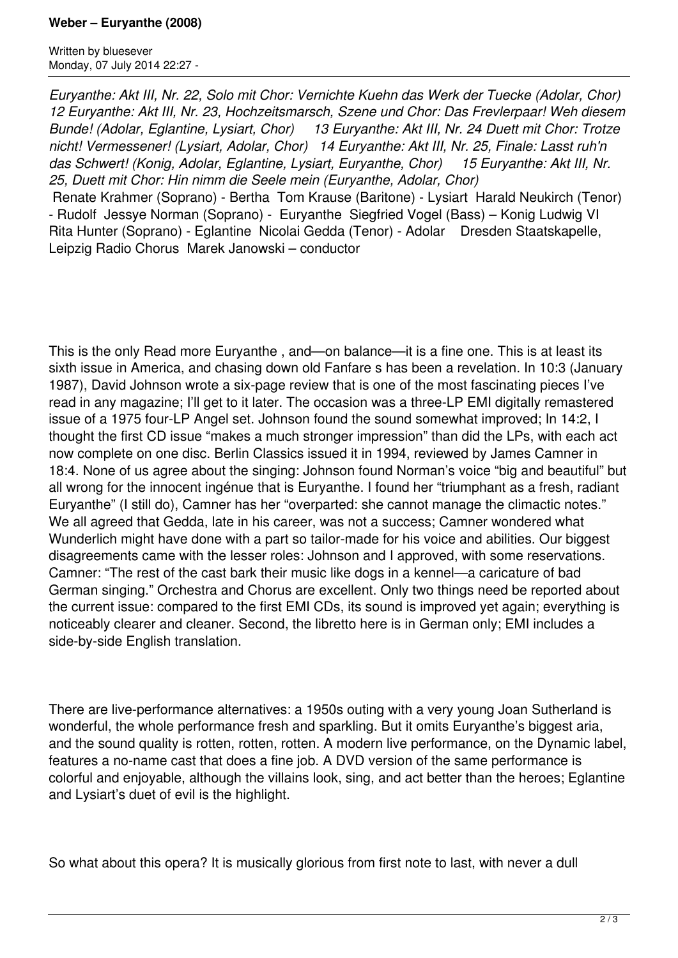## **Weber – Euryanthe (2008)**

Written by bluesever Monday, 07 July 2014 22:27 -

*Euryanthe: Akt III, Nr. 22, Solo mit Chor: Vernichte Kuehn das Werk der Tuecke (Adolar, Chor) 12 Euryanthe: Akt III, Nr. 23, Hochzeitsmarsch, Szene und Chor: Das Frevlerpaar! Weh diesem Bunde! (Adolar, Eglantine, Lysiart, Chor) 13 Euryanthe: Akt III, Nr. 24 Duett mit Chor: Trotze nicht! Vermessener! (Lysiart, Adolar, Chor) 14 Euryanthe: Akt III, Nr. 25, Finale: Lasst ruh'n das Schwert! (Konig, Adolar, Eglantine, Lysiart, Euryanthe, Chor) 15 Euryanthe: Akt III, Nr. 25, Duett mit Chor: Hin nimm die Seele mein (Euryanthe, Adolar, Chor)* 

 Renate Krahmer (Soprano) - Bertha Tom Krause (Baritone) - Lysiart Harald Neukirch (Tenor) - Rudolf Jessye Norman (Soprano) - Euryanthe Siegfried Vogel (Bass) – Konig Ludwig VI Rita Hunter (Soprano) - Eglantine Nicolai Gedda (Tenor) - Adolar Dresden Staatskapelle, Leipzig Radio Chorus Marek Janowski – conductor

This is the only Read more Euryanthe , and—on balance—it is a fine one. This is at least its sixth issue in America, and chasing down old Fanfare s has been a revelation. In 10:3 (January 1987), David Johnson wrote a six-page review that is one of the most fascinating pieces I've read in any magazine; I'll get to it later. The occasion was a three-LP EMI digitally remastered issue of a 1975 four-LP Angel set. Johnson found the sound somewhat improved; In 14:2, I thought the first CD issue "makes a much stronger impression" than did the LPs, with each act now complete on one disc. Berlin Classics issued it in 1994, reviewed by James Camner in 18:4. None of us agree about the singing: Johnson found Norman's voice "big and beautiful" but all wrong for the innocent ingénue that is Euryanthe. I found her "triumphant as a fresh, radiant Euryanthe" (I still do), Camner has her "overparted: she cannot manage the climactic notes." We all agreed that Gedda, late in his career, was not a success; Camner wondered what Wunderlich might have done with a part so tailor-made for his voice and abilities. Our biggest disagreements came with the lesser roles: Johnson and I approved, with some reservations. Camner: "The rest of the cast bark their music like dogs in a kennel—a caricature of bad German singing." Orchestra and Chorus are excellent. Only two things need be reported about the current issue: compared to the first EMI CDs, its sound is improved yet again; everything is noticeably clearer and cleaner. Second, the libretto here is in German only; EMI includes a side-by-side English translation.

There are live-performance alternatives: a 1950s outing with a very young Joan Sutherland is wonderful, the whole performance fresh and sparkling. But it omits Euryanthe's biggest aria, and the sound quality is rotten, rotten, rotten. A modern live performance, on the Dynamic label, features a no-name cast that does a fine job. A DVD version of the same performance is colorful and enjoyable, although the villains look, sing, and act better than the heroes; Eglantine and Lysiart's duet of evil is the highlight.

So what about this opera? It is musically glorious from first note to last, with never a dull